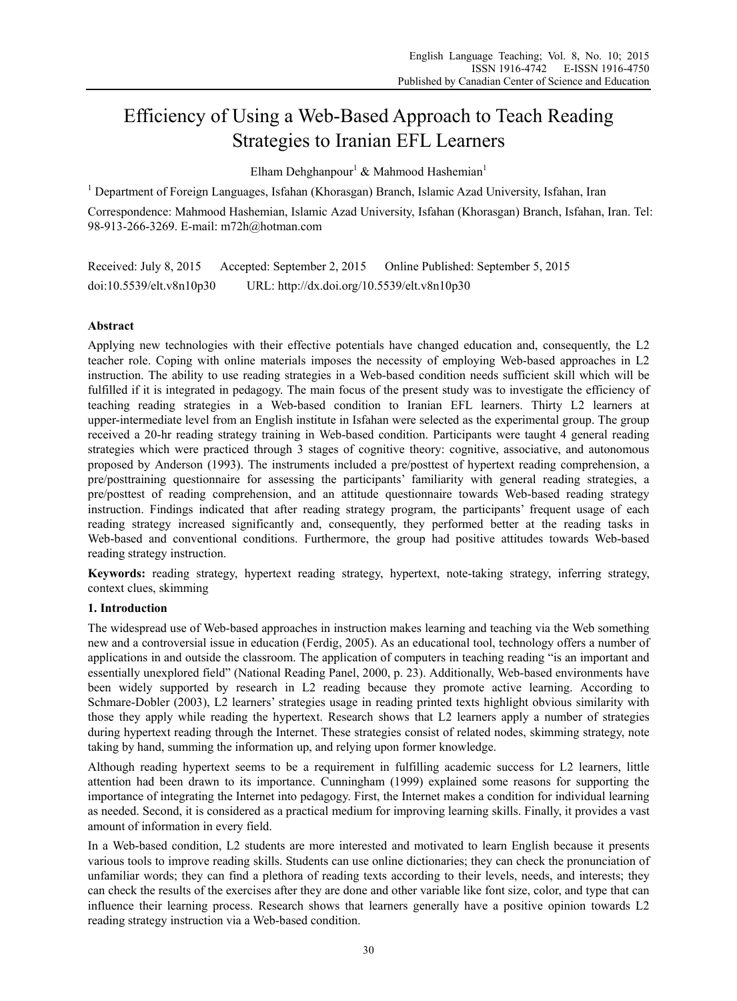# Efficiency of Using a Web-Based Approach to Teach Reading Strategies to Iranian EFL Learners

Elham Dehghanpour<sup>1</sup> & Mahmood Hashemian<sup>1</sup>

<sup>1</sup> Department of Foreign Languages, Isfahan (Khorasgan) Branch, Islamic Azad University, Isfahan, Iran

Correspondence: Mahmood Hashemian, Islamic Azad University, Isfahan (Khorasgan) Branch, Isfahan, Iran. Tel: 98-913-266-3269. E-mail: m72h@hotman.com

Received: July 8, 2015 Accepted: September 2, 2015 Online Published: September 5, 2015 doi:10.5539/elt.v8n10p30 URL: http://dx.doi.org/10.5539/elt.v8n10p30

## **Abstract**

Applying new technologies with their effective potentials have changed education and, consequently, the L2 teacher role. Coping with online materials imposes the necessity of employing Web-based approaches in L2 instruction. The ability to use reading strategies in a Web-based condition needs sufficient skill which will be fulfilled if it is integrated in pedagogy. The main focus of the present study was to investigate the efficiency of teaching reading strategies in a Web-based condition to Iranian EFL learners. Thirty L2 learners at upper-intermediate level from an English institute in Isfahan were selected as the experimental group. The group received a 20-hr reading strategy training in Web-based condition. Participants were taught 4 general reading strategies which were practiced through 3 stages of cognitive theory: cognitive, associative, and autonomous proposed by Anderson (1993). The instruments included a pre/posttest of hypertext reading comprehension, a pre/posttraining questionnaire for assessing the participants' familiarity with general reading strategies, a pre/posttest of reading comprehension, and an attitude questionnaire towards Web-based reading strategy instruction. Findings indicated that after reading strategy program, the participants' frequent usage of each reading strategy increased significantly and, consequently, they performed better at the reading tasks in Web-based and conventional conditions. Furthermore, the group had positive attitudes towards Web-based reading strategy instruction.

**Keywords:** reading strategy, hypertext reading strategy, hypertext, note-taking strategy, inferring strategy, context clues, skimming

## **1. Introduction**

The widespread use of Web-based approaches in instruction makes learning and teaching via the Web something new and a controversial issue in education (Ferdig, 2005). As an educational tool, technology offers a number of applications in and outside the classroom. The application of computers in teaching reading "is an important and essentially unexplored field" (National Reading Panel, 2000, p. 23). Additionally, Web-based environments have been widely supported by research in L2 reading because they promote active learning. According to Schmare-Dobler (2003), L2 learners' strategies usage in reading printed texts highlight obvious similarity with those they apply while reading the hypertext. Research shows that L2 learners apply a number of strategies during hypertext reading through the Internet. These strategies consist of related nodes, skimming strategy, note taking by hand, summing the information up, and relying upon former knowledge.

Although reading hypertext seems to be a requirement in fulfilling academic success for L2 learners, little attention had been drawn to its importance. Cunningham (1999) explained some reasons for supporting the importance of integrating the Internet into pedagogy. First, the Internet makes a condition for individual learning as needed. Second, it is considered as a practical medium for improving learning skills. Finally, it provides a vast amount of information in every field.

In a Web-based condition, L2 students are more interested and motivated to learn English because it presents various tools to improve reading skills. Students can use online dictionaries; they can check the pronunciation of unfamiliar words; they can find a plethora of reading texts according to their levels, needs, and interests; they can check the results of the exercises after they are done and other variable like font size, color, and type that can influence their learning process. Research shows that learners generally have a positive opinion towards L2 reading strategy instruction via a Web-based condition.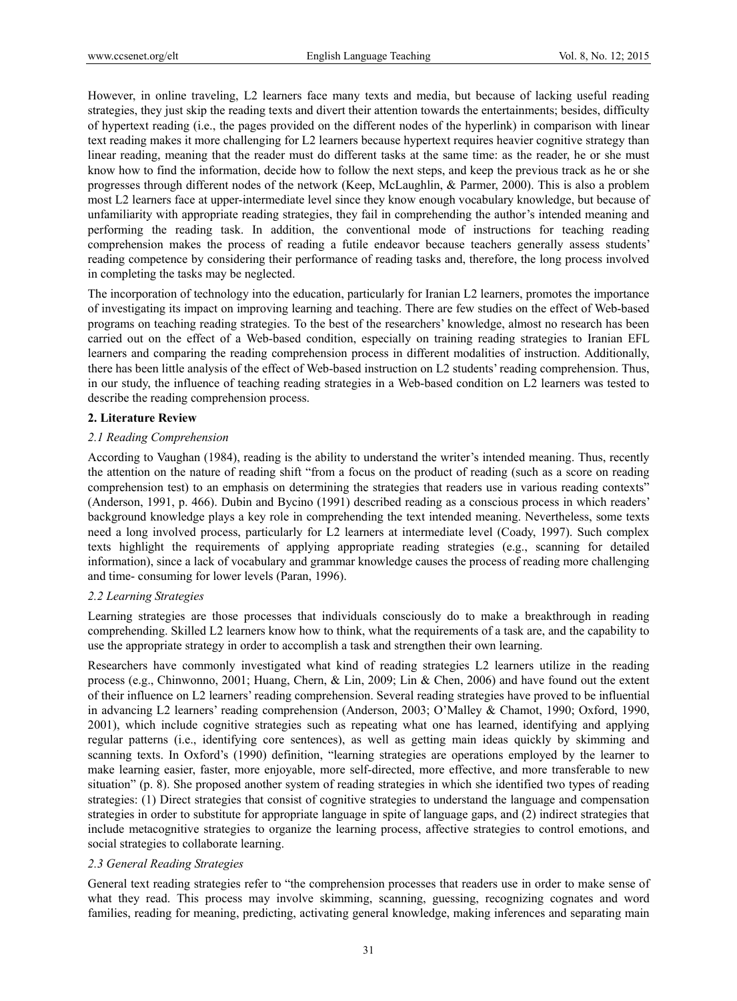However, in online traveling, L2 learners face many texts and media, but because of lacking useful reading strategies, they just skip the reading texts and divert their attention towards the entertainments; besides, difficulty of hypertext reading (i.e., the pages provided on the different nodes of the hyperlink) in comparison with linear text reading makes it more challenging for L2 learners because hypertext requires heavier cognitive strategy than linear reading, meaning that the reader must do different tasks at the same time: as the reader, he or she must know how to find the information, decide how to follow the next steps, and keep the previous track as he or she progresses through different nodes of the network (Keep, McLaughlin, & Parmer, 2000). This is also a problem most L2 learners face at upper-intermediate level since they know enough vocabulary knowledge, but because of unfamiliarity with appropriate reading strategies, they fail in comprehending the author's intended meaning and performing the reading task. In addition, the conventional mode of instructions for teaching reading comprehension makes the process of reading a futile endeavor because teachers generally assess students' reading competence by considering their performance of reading tasks and, therefore, the long process involved in completing the tasks may be neglected.

The incorporation of technology into the education, particularly for Iranian L2 learners, promotes the importance of investigating its impact on improving learning and teaching. There are few studies on the effect of Web-based programs on teaching reading strategies. To the best of the researchers' knowledge, almost no research has been carried out on the effect of a Web-based condition, especially on training reading strategies to Iranian EFL learners and comparing the reading comprehension process in different modalities of instruction. Additionally, there has been little analysis of the effect of Web-based instruction on L2 students' reading comprehension. Thus, in our study, the influence of teaching reading strategies in a Web-based condition on L2 learners was tested to describe the reading comprehension process.

## **2. Literature Review**

#### *2.1 Reading Comprehension*

According to Vaughan (1984), reading is the ability to understand the writer's intended meaning. Thus, recently the attention on the nature of reading shift "from a focus on the product of reading (such as a score on reading comprehension test) to an emphasis on determining the strategies that readers use in various reading contexts" (Anderson, 1991, p. 466). Dubin and Bycino (1991) described reading as a conscious process in which readers' background knowledge plays a key role in comprehending the text intended meaning. Nevertheless, some texts need a long involved process, particularly for L2 learners at intermediate level (Coady, 1997). Such complex texts highlight the requirements of applying appropriate reading strategies (e.g., scanning for detailed information), since a lack of vocabulary and grammar knowledge causes the process of reading more challenging and time- consuming for lower levels (Paran, 1996).

## *2.2 Learning Strategies*

Learning strategies are those processes that individuals consciously do to make a breakthrough in reading comprehending. Skilled L2 learners know how to think, what the requirements of a task are, and the capability to use the appropriate strategy in order to accomplish a task and strengthen their own learning.

Researchers have commonly investigated what kind of reading strategies L2 learners utilize in the reading process (e.g., Chinwonno, 2001; Huang, Chern, & Lin, 2009; Lin & Chen, 2006) and have found out the extent of their influence on L2 learners' reading comprehension. Several reading strategies have proved to be influential in advancing L2 learners' reading comprehension (Anderson, 2003; O'Malley & Chamot, 1990; Oxford, 1990, 2001), which include cognitive strategies such as repeating what one has learned, identifying and applying regular patterns (i.e., identifying core sentences), as well as getting main ideas quickly by skimming and scanning texts. In Oxford's (1990) definition, "learning strategies are operations employed by the learner to make learning easier, faster, more enjoyable, more self-directed, more effective, and more transferable to new situation" (p. 8). She proposed another system of reading strategies in which she identified two types of reading strategies: (1) Direct strategies that consist of cognitive strategies to understand the language and compensation strategies in order to substitute for appropriate language in spite of language gaps, and (2) indirect strategies that include metacognitive strategies to organize the learning process, affective strategies to control emotions, and social strategies to collaborate learning.

## *2.3 General Reading Strategies*

General text reading strategies refer to "the comprehension processes that readers use in order to make sense of what they read. This process may involve skimming, scanning, guessing, recognizing cognates and word families, reading for meaning, predicting, activating general knowledge, making inferences and separating main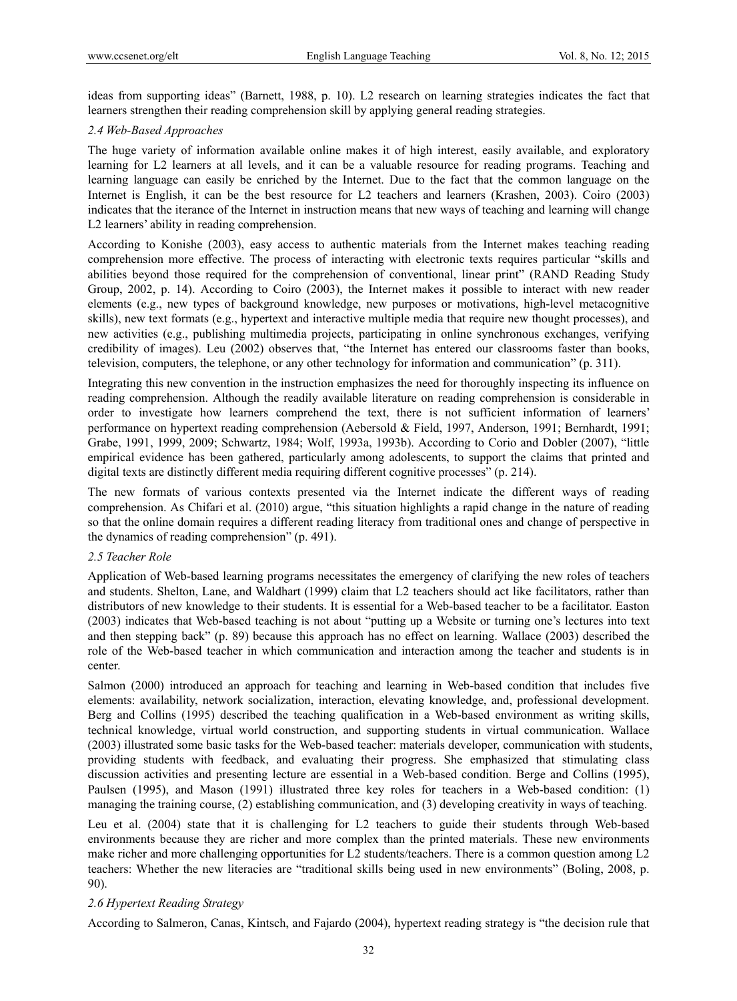ideas from supporting ideas" (Barnett, 1988, p. 10). L2 research on learning strategies indicates the fact that learners strengthen their reading comprehension skill by applying general reading strategies.

## *2.4 Web-Based Approaches*

The huge variety of information available online makes it of high interest, easily available, and exploratory learning for L2 learners at all levels, and it can be a valuable resource for reading programs. Teaching and learning language can easily be enriched by the Internet. Due to the fact that the common language on the Internet is English, it can be the best resource for L2 teachers and learners (Krashen, 2003). Coiro (2003) indicates that the iterance of the Internet in instruction means that new ways of teaching and learning will change L2 learners' ability in reading comprehension.

According to Konishe (2003), easy access to authentic materials from the Internet makes teaching reading comprehension more effective. The process of interacting with electronic texts requires particular "skills and abilities beyond those required for the comprehension of conventional, linear print" (RAND Reading Study Group, 2002, p. 14). According to Coiro (2003), the Internet makes it possible to interact with new reader elements (e.g., new types of background knowledge, new purposes or motivations, high-level metacognitive skills), new text formats (e.g., hypertext and interactive multiple media that require new thought processes), and new activities (e.g., publishing multimedia projects, participating in online synchronous exchanges, verifying credibility of images). Leu (2002) observes that, "the Internet has entered our classrooms faster than books, television, computers, the telephone, or any other technology for information and communication" (p. 311).

Integrating this new convention in the instruction emphasizes the need for thoroughly inspecting its influence on reading comprehension. Although the readily available literature on reading comprehension is considerable in order to investigate how learners comprehend the text, there is not sufficient information of learners' performance on hypertext reading comprehension (Aebersold & Field, 1997, Anderson, 1991; Bernhardt, 1991; Grabe, 1991, 1999, 2009; Schwartz, 1984; Wolf, 1993a, 1993b). According to Corio and Dobler (2007), "little empirical evidence has been gathered, particularly among adolescents, to support the claims that printed and digital texts are distinctly different media requiring different cognitive processes" (p. 214).

The new formats of various contexts presented via the Internet indicate the different ways of reading comprehension. As Chifari et al. (2010) argue, "this situation highlights a rapid change in the nature of reading so that the online domain requires a different reading literacy from traditional ones and change of perspective in the dynamics of reading comprehension" (p. 491).

#### *2.5 Teacher Role*

Application of Web-based learning programs necessitates the emergency of clarifying the new roles of teachers and students. Shelton, Lane, and Waldhart (1999) claim that L2 teachers should act like facilitators, rather than distributors of new knowledge to their students. It is essential for a Web-based teacher to be a facilitator. Easton (2003) indicates that Web-based teaching is not about "putting up a Website or turning one's lectures into text and then stepping back" (p. 89) because this approach has no effect on learning. Wallace (2003) described the role of the Web-based teacher in which communication and interaction among the teacher and students is in center.

Salmon (2000) introduced an approach for teaching and learning in Web-based condition that includes five elements: availability, network socialization, interaction, elevating knowledge, and, professional development. Berg and Collins (1995) described the teaching qualification in a Web-based environment as writing skills, technical knowledge, virtual world construction, and supporting students in virtual communication. Wallace (2003) illustrated some basic tasks for the Web-based teacher: materials developer, communication with students, providing students with feedback, and evaluating their progress. She emphasized that stimulating class discussion activities and presenting lecture are essential in a Web-based condition. Berge and Collins (1995), Paulsen (1995), and Mason (1991) illustrated three key roles for teachers in a Web-based condition: (1) managing the training course, (2) establishing communication, and (3) developing creativity in ways of teaching.

Leu et al. (2004) state that it is challenging for L2 teachers to guide their students through Web-based environments because they are richer and more complex than the printed materials. These new environments make richer and more challenging opportunities for L2 students/teachers. There is a common question among L2 teachers: Whether the new literacies are "traditional skills being used in new environments" (Boling, 2008, p. 90).

## *2.6 Hypertext Reading Strategy*

According to Salmeron, Canas, Kintsch, and Fajardo (2004), hypertext reading strategy is "the decision rule that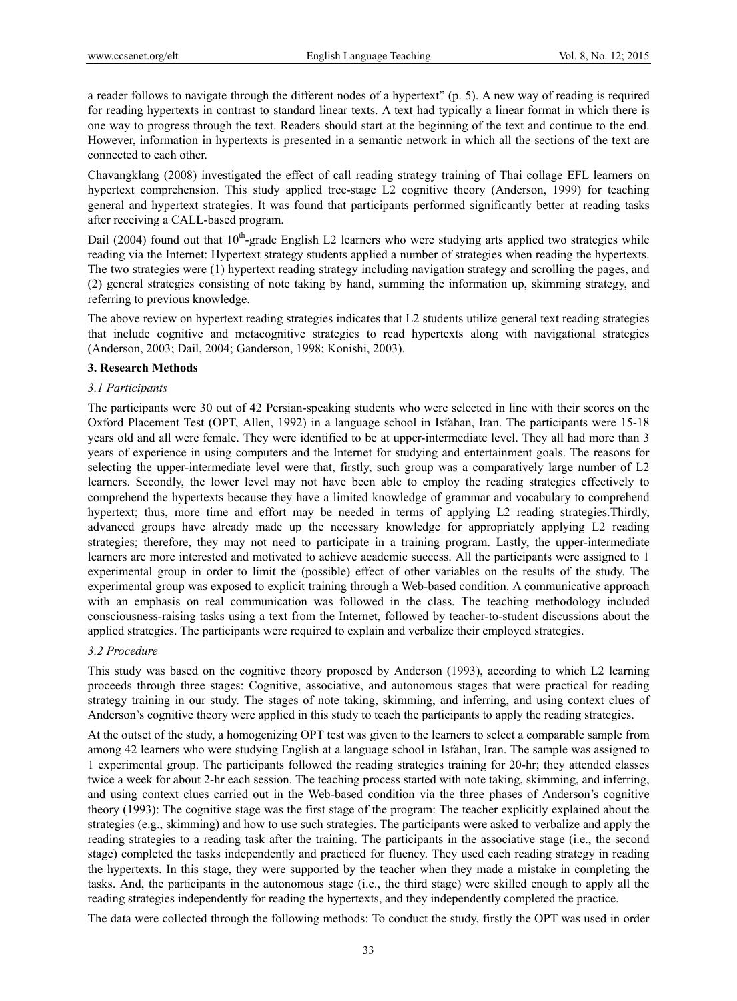a reader follows to navigate through the different nodes of a hypertext" (p. 5). A new way of reading is required for reading hypertexts in contrast to standard linear texts. A text had typically a linear format in which there is one way to progress through the text. Readers should start at the beginning of the text and continue to the end. However, information in hypertexts is presented in a semantic network in which all the sections of the text are connected to each other.

Chavangklang (2008) investigated the effect of call reading strategy training of Thai collage EFL learners on hypertext comprehension. This study applied tree-stage L2 cognitive theory (Anderson, 1999) for teaching general and hypertext strategies. It was found that participants performed significantly better at reading tasks after receiving a CALL-based program.

Dail (2004) found out that  $10<sup>th</sup>$ -grade English L2 learners who were studying arts applied two strategies while reading via the Internet: Hypertext strategy students applied a number of strategies when reading the hypertexts. The two strategies were (1) hypertext reading strategy including navigation strategy and scrolling the pages, and (2) general strategies consisting of note taking by hand, summing the information up, skimming strategy, and referring to previous knowledge.

The above review on hypertext reading strategies indicates that L2 students utilize general text reading strategies that include cognitive and metacognitive strategies to read hypertexts along with navigational strategies (Anderson, 2003; Dail, 2004; Ganderson, 1998; Konishi, 2003).

## **3. Research Methods**

## *3.1 Participants*

The participants were 30 out of 42 Persian-speaking students who were selected in line with their scores on the Oxford Placement Test (OPT, Allen, 1992) in a language school in Isfahan, Iran. The participants were 15-18 years old and all were female. They were identified to be at upper-intermediate level. They all had more than 3 years of experience in using computers and the Internet for studying and entertainment goals. The reasons for selecting the upper-intermediate level were that, firstly, such group was a comparatively large number of L2 learners. Secondly, the lower level may not have been able to employ the reading strategies effectively to comprehend the hypertexts because they have a limited knowledge of grammar and vocabulary to comprehend hypertext; thus, more time and effort may be needed in terms of applying L2 reading strategies.Thirdly, advanced groups have already made up the necessary knowledge for appropriately applying L2 reading strategies; therefore, they may not need to participate in a training program. Lastly, the upper-intermediate learners are more interested and motivated to achieve academic success. All the participants were assigned to 1 experimental group in order to limit the (possible) effect of other variables on the results of the study. The experimental group was exposed to explicit training through a Web-based condition. A communicative approach with an emphasis on real communication was followed in the class. The teaching methodology included consciousness-raising tasks using a text from the Internet, followed by teacher-to-student discussions about the applied strategies. The participants were required to explain and verbalize their employed strategies.

## *3.2 Procedure*

This study was based on the cognitive theory proposed by Anderson (1993), according to which L2 learning proceeds through three stages: Cognitive, associative, and autonomous stages that were practical for reading strategy training in our study. The stages of note taking, skimming, and inferring, and using context clues of Anderson's cognitive theory were applied in this study to teach the participants to apply the reading strategies.

At the outset of the study, a homogenizing OPT test was given to the learners to select a comparable sample from among 42 learners who were studying English at a language school in Isfahan, Iran. The sample was assigned to 1 experimental group. The participants followed the reading strategies training for 20-hr; they attended classes twice a week for about 2-hr each session. The teaching process started with note taking, skimming, and inferring, and using context clues carried out in the Web-based condition via the three phases of Anderson's cognitive theory (1993): The cognitive stage was the first stage of the program: The teacher explicitly explained about the strategies (e.g., skimming) and how to use such strategies. The participants were asked to verbalize and apply the reading strategies to a reading task after the training. The participants in the associative stage (i.e., the second stage) completed the tasks independently and practiced for fluency. They used each reading strategy in reading the hypertexts. In this stage, they were supported by the teacher when they made a mistake in completing the tasks. And, the participants in the autonomous stage (i.e., the third stage) were skilled enough to apply all the reading strategies independently for reading the hypertexts, and they independently completed the practice.

The data were collected through the following methods: To conduct the study, firstly the OPT was used in order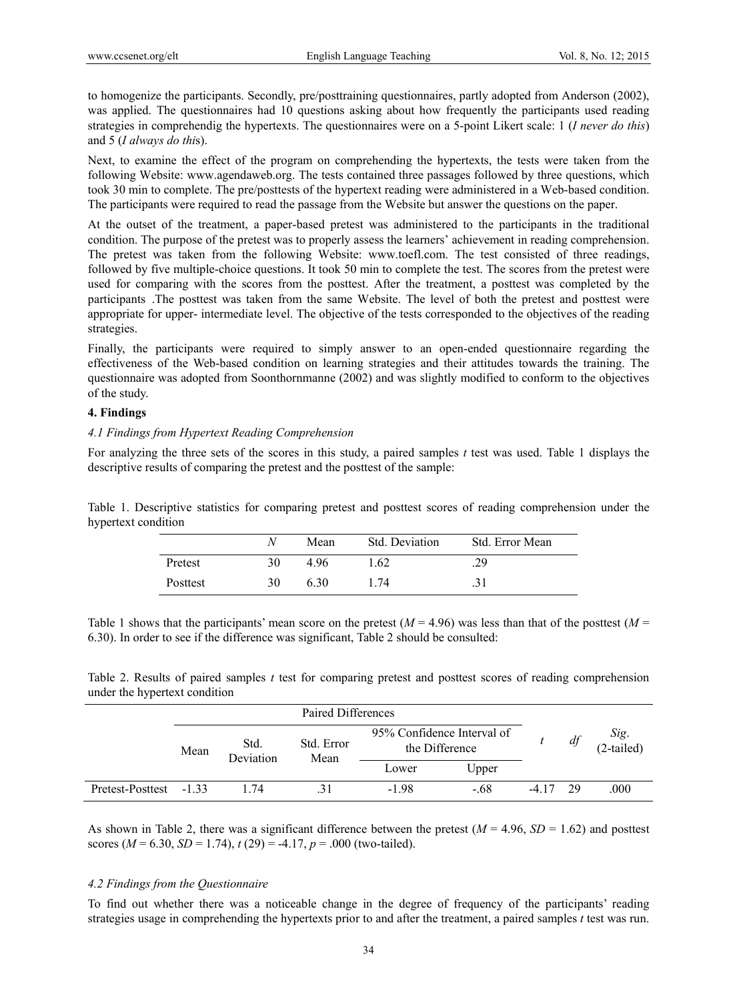to homogenize the participants. Secondly, pre/posttraining questionnaires, partly adopted from Anderson (2002), was applied. The questionnaires had 10 questions asking about how frequently the participants used reading strategies in comprehendig the hypertexts. The questionnaires were on a 5-point Likert scale: 1 (*I never do this*) and 5 (*I always do thi*s).

Next, to examine the effect of the program on comprehending the hypertexts, the tests were taken from the following Website: www.agendaweb.org. The tests contained three passages followed by three questions, which took 30 min to complete. The pre/posttests of the hypertext reading were administered in a Web-based condition. The participants were required to read the passage from the Website but answer the questions on the paper.

At the outset of the treatment, a paper-based pretest was administered to the participants in the traditional condition. The purpose of the pretest was to properly assess the learners' achievement in reading comprehension. The pretest was taken from the following Website: www.toefl.com. The test consisted of three readings, followed by five multiple-choice questions. It took 50 min to complete the test. The scores from the pretest were used for comparing with the scores from the posttest. After the treatment, a posttest was completed by the participants .The posttest was taken from the same Website. The level of both the pretest and posttest were appropriate for upper- intermediate level. The objective of the tests corresponded to the objectives of the reading strategies.

Finally, the participants were required to simply answer to an open-ended questionnaire regarding the effectiveness of the Web-based condition on learning strategies and their attitudes towards the training. The questionnaire was adopted from Soonthornmanne (2002) and was slightly modified to conform to the objectives of the study.

## **4. Findings**

#### *4.1 Findings from Hypertext Reading Comprehension*

For analyzing the three sets of the scores in this study, a paired samples *t* test was used. Table 1 displays the descriptive results of comparing the pretest and the posttest of the sample:

Table 1. Descriptive statistics for comparing pretest and posttest scores of reading comprehension under the hypertext condition

|          |    | Mean | Std. Deviation | Std. Error Mean |
|----------|----|------|----------------|-----------------|
| Pretest  | 30 | 496  | 1.62           | 29              |
| Posttest | 30 | 6.30 | 1.74           |                 |

Table 1 shows that the participants' mean score on the pretest ( $M = 4.96$ ) was less than that of the posttest ( $M = 2.96$ ) 6.30). In order to see if the difference was significant, Table 2 should be consulted:

| Table 2. Results of paired samples $t$ test for comparing pretest and posttest scores of reading comprehension |  |  |  |  |  |  |  |
|----------------------------------------------------------------------------------------------------------------|--|--|--|--|--|--|--|
| under the hypertext condition                                                                                  |  |  |  |  |  |  |  |

|                  |                           |      |                    | Paired Differences                           |       |         |    |                      |
|------------------|---------------------------|------|--------------------|----------------------------------------------|-------|---------|----|----------------------|
|                  | Std.<br>Mean<br>Deviation |      | Std. Error<br>Mean | 95% Confidence Interval of<br>the Difference |       |         | df | $Sig.$<br>(2-tailed) |
|                  |                           |      |                    | Lower                                        | Upper |         |    |                      |
| Pretest-Posttest | $-133$                    | 1 74 |                    | $-1.98$                                      | - 68  | $-4.17$ | 29 | .000                 |

As shown in Table 2, there was a significant difference between the pretest  $(M = 4.96, SD = 1.62)$  and posttest scores ( $M = 6.30$ ,  $SD = 1.74$ ),  $t(29) = -4.17$ ,  $p = .000$  (two-tailed).

#### *4.2 Findings from the Questionnaire*

To find out whether there was a noticeable change in the degree of frequency of the participants' reading strategies usage in comprehending the hypertexts prior to and after the treatment, a paired samples *t* test was run.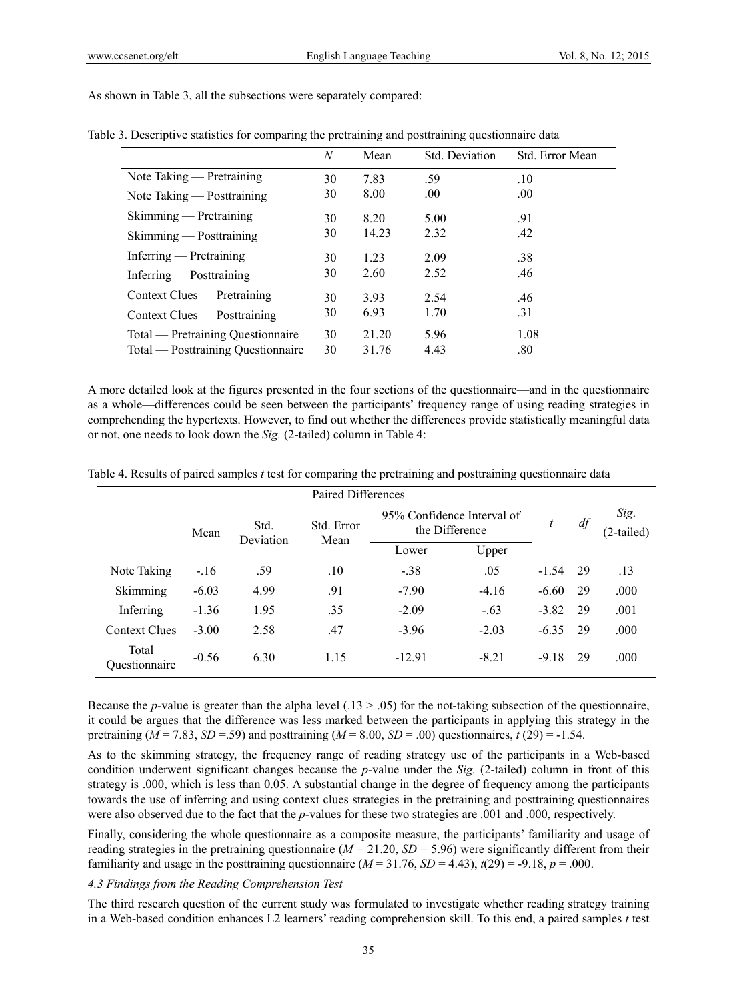Table 3. Descriptive statistics for comparing the pretraining and posttraining questionnaire data

|                                    | N  | Mean  | Std. Deviation | Std. Error Mean |
|------------------------------------|----|-------|----------------|-----------------|
| Note Taking — Pretraining          | 30 | 7.83  | .59            | .10             |
| Note Taking — Posttraining         | 30 | 8.00  | .00.           | .00.            |
| Skimming — Pretraining             | 30 | 8.20  | 5.00           | .91             |
| $\text{Skimming}$ - Posttraining   | 30 | 14.23 | 2.32           | .42             |
| Inferring — Pretraining            | 30 | 1.23  | 2.09           | .38             |
| Inferring $-$ Posttraining         | 30 | 2.60  | 2.52           | .46             |
| Context Clues — Pretraining        | 30 | 3.93  | 2.54           | .46             |
| Context Clues — Posttraining       | 30 | 6.93  | 1.70           | .31             |
| Total — Pretraining Questionnaire  | 30 | 21.20 | 5.96           | 1.08            |
| Total — Posttraining Questionnaire | 30 | 31.76 | 4.43           | .80             |

As shown in Table 3, all the subsections were separately compared:

| A more detailed look at the figures presented in the four sections of the questionnaire—and in the questionnaire |
|------------------------------------------------------------------------------------------------------------------|
| as a whole—differences could be seen between the participants' frequency range of using reading strategies in    |
| comprehending the hypertexts. However, to find out whether the differences provide statistically meaningful data |
| or not, one needs to look down the Sig. (2-tailed) column in Table 4:                                            |

| Table 4. Results of paired samples $t$ test for comparing the pretraining and posttraining questionnaire data |  |  |  |
|---------------------------------------------------------------------------------------------------------------|--|--|--|
|                                                                                                               |  |  |  |

|                        | Paired Differences        |      |                    |          |                                              |         |    |                    |
|------------------------|---------------------------|------|--------------------|----------|----------------------------------------------|---------|----|--------------------|
|                        | Std.<br>Mean<br>Deviation |      | Std. Error<br>Mean |          | 95% Confidence Interval of<br>the Difference |         |    | Sig.<br>(2-tailed) |
|                        |                           |      |                    | Lower    | Upper                                        |         |    |                    |
| Note Taking            | $-16$                     | .59  | .10                | $-.38$   | .05                                          | $-1.54$ | 29 | .13                |
| Skimming               | $-6.03$                   | 4.99 | .91                | $-7.90$  | $-4.16$                                      | $-6.60$ | 29 | .000               |
| Inferring              | $-1.36$                   | 1.95 | .35                | $-2.09$  | $-.63$                                       | $-3.82$ | 29 | .001               |
| <b>Context Clues</b>   | $-3.00$                   | 2.58 | .47                | $-3.96$  | $-2.03$                                      | $-6.35$ | 29 | .000               |
| Total<br>Questionnaire | $-0.56$                   | 6.30 | 1.15               | $-12.91$ | $-8.21$                                      | $-9.18$ | 29 | .000               |

Because the *p-*value is greater than the alpha level (.13 > .05) for the not-taking subsection of the questionnaire, it could be argues that the difference was less marked between the participants in applying this strategy in the pretraining ( $M = 7.83$ ,  $SD = .59$ ) and posttraining ( $M = 8.00$ ,  $SD = .00$ ) questionnaires,  $t(29) = -1.54$ .

As to the skimming strategy, the frequency range of reading strategy use of the participants in a Web-based condition underwent significant changes because the *p-*value under the *Sig.* (2-tailed) column in front of this strategy is .000, which is less than 0.05. A substantial change in the degree of frequency among the participants towards the use of inferring and using context clues strategies in the pretraining and posttraining questionnaires were also observed due to the fact that the *p-*values for these two strategies are .001 and .000, respectively.

Finally, considering the whole questionnaire as a composite measure, the participants' familiarity and usage of reading strategies in the pretraining questionnaire ( $M = 21.20$ ,  $SD = 5.96$ ) were significantly different from their familiarity and usage in the posttraining questionnaire ( $M = 31.76$ ,  $SD = 4.43$ ),  $t(29) = -9.18$ ,  $p = .000$ .

*4.3 Findings from the Reading Comprehension Test* 

The third research question of the current study was formulated to investigate whether reading strategy training in a Web-based condition enhances L2 learners' reading comprehension skill. To this end, a paired samples *t* test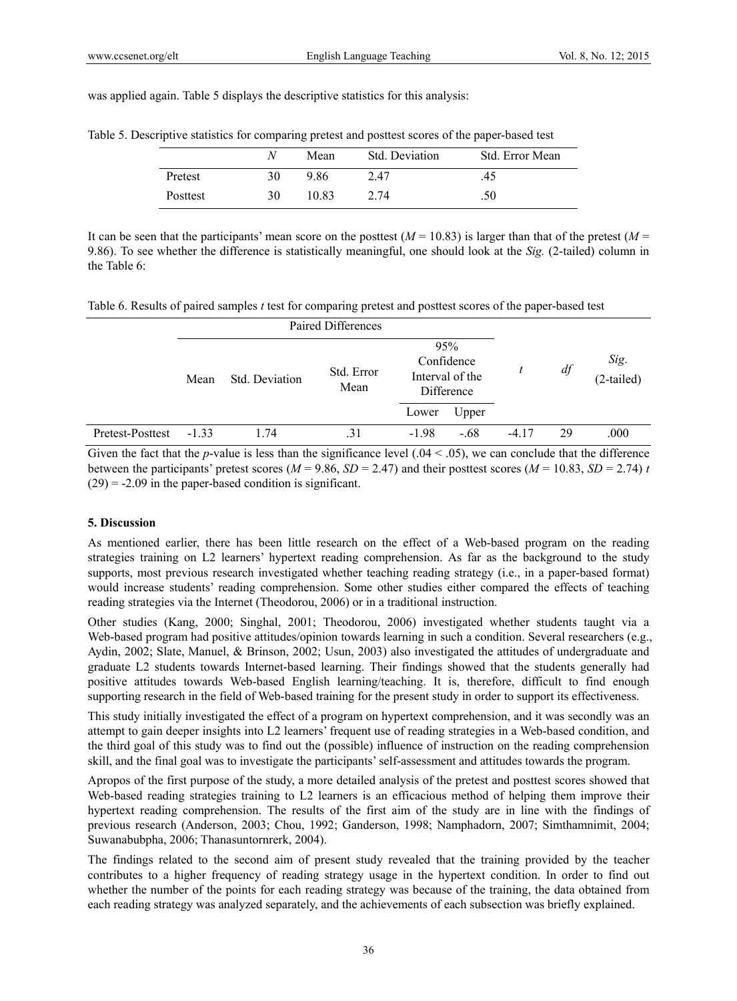was applied again. Table 5 displays the descriptive statistics for this analysis:

|          | Λ  | Mean  | Std. Deviation | Std. Error Mean |
|----------|----|-------|----------------|-----------------|
| Pretest  | 30 | 986   | 2 47           | .45             |
| Posttest | 30 | 10 83 | 2.74           | .50             |

Table 5. Descriptive statistics for comparing pretest and posttest scores of the paper-based test

It can be seen that the participants' mean score on the posttest  $(M = 10.83)$  is larger than that of the pretest  $(M = 10.83)$ 9.86). To see whether the difference is statistically meaningful, one should look at the *Sig.* (2-tailed) column in the Table 6:

| Table 6. Results of paired samples t test for comparing pretest and posttest scores of the paper-based test |  |  |  |
|-------------------------------------------------------------------------------------------------------------|--|--|--|
|                                                                                                             |  |  |  |

|                  |         | Paired Differences                   |     |                                                    |        |         |    |                      |
|------------------|---------|--------------------------------------|-----|----------------------------------------------------|--------|---------|----|----------------------|
|                  | Mean    | Std. Error<br>Std. Deviation<br>Mean |     | 95%<br>Confidence<br>Interval of the<br>Difference |        | df      |    | Sig.<br>$(2-tailed)$ |
|                  |         |                                      |     | Lower                                              | Upper  |         |    |                      |
| Pretest-Posttest | $-1.33$ | 1.74                                 | .31 | $-1.98$                                            | $-.68$ | $-4.17$ | 29 | .000                 |

Given the fact that the *p*-value is less than the significance level  $(.04 < .05)$ , we can conclude that the difference between the participants' pretest scores ( $M = 9.86$ ,  $SD = 2.47$ ) and their posttest scores ( $M = 10.83$ ,  $SD = 2.74$ ) *t*  $(29) = -2.09$  in the paper-based condition is significant.

## **5. Discussion**

As mentioned earlier, there has been little research on the effect of a Web-based program on the reading strategies training on L2 learners' hypertext reading comprehension. As far as the background to the study supports, most previous research investigated whether teaching reading strategy (i.e., in a paper-based format) would increase students' reading comprehension. Some other studies either compared the effects of teaching reading strategies via the Internet (Theodorou, 2006) or in a traditional instruction.

Other studies (Kang, 2000; Singhal, 2001; Theodorou, 2006) investigated whether students taught via a Web-based program had positive attitudes/opinion towards learning in such a condition. Several researchers (e.g., Aydin, 2002; Slate, Manuel, & Brinson, 2002; Usun, 2003) also investigated the attitudes of undergraduate and graduate L2 students towards Internet-based learning. Their findings showed that the students generally had positive attitudes towards Web-based English learning/teaching. It is, therefore, difficult to find enough supporting research in the field of Web-based training for the present study in order to support its effectiveness.

This study initially investigated the effect of a program on hypertext comprehension, and it was secondly was an attempt to gain deeper insights into L2 learners' frequent use of reading strategies in a Web-based condition, and the third goal of this study was to find out the (possible) influence of instruction on the reading comprehension skill, and the final goal was to investigate the participants' self-assessment and attitudes towards the program.

Apropos of the first purpose of the study, a more detailed analysis of the pretest and posttest scores showed that Web-based reading strategies training to L2 learners is an efficacious method of helping them improve their hypertext reading comprehension. The results of the first aim of the study are in line with the findings of previous research (Anderson, 2003; Chou, 1992; Ganderson, 1998; Namphadorn, 2007; Simthamnimit, 2004; Suwanabubpha, 2006; Thanasuntornrerk, 2004).

The findings related to the second aim of present study revealed that the training provided by the teacher contributes to a higher frequency of reading strategy usage in the hypertext condition. In order to find out whether the number of the points for each reading strategy was because of the training, the data obtained from each reading strategy was analyzed separately, and the achievements of each subsection was briefly explained.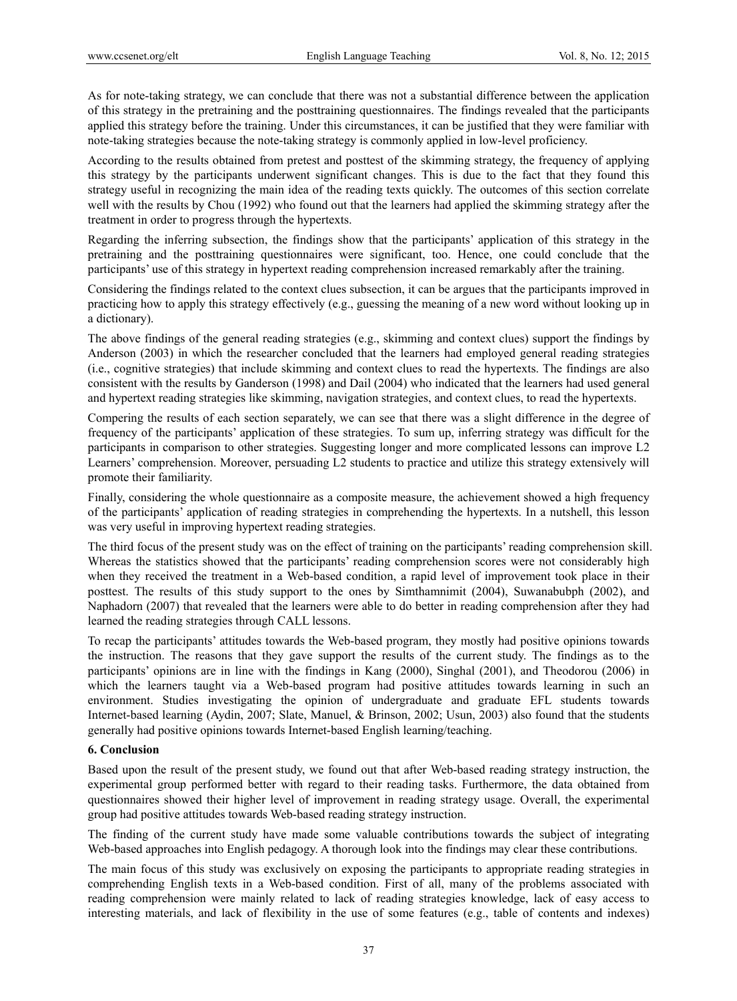As for note-taking strategy, we can conclude that there was not a substantial difference between the application of this strategy in the pretraining and the posttraining questionnaires. The findings revealed that the participants applied this strategy before the training. Under this circumstances, it can be justified that they were familiar with note-taking strategies because the note-taking strategy is commonly applied in low-level proficiency.

According to the results obtained from pretest and posttest of the skimming strategy, the frequency of applying this strategy by the participants underwent significant changes. This is due to the fact that they found this strategy useful in recognizing the main idea of the reading texts quickly. The outcomes of this section correlate well with the results by Chou (1992) who found out that the learners had applied the skimming strategy after the treatment in order to progress through the hypertexts.

Regarding the inferring subsection, the findings show that the participants' application of this strategy in the pretraining and the posttraining questionnaires were significant, too. Hence, one could conclude that the participants' use of this strategy in hypertext reading comprehension increased remarkably after the training.

Considering the findings related to the context clues subsection, it can be argues that the participants improved in practicing how to apply this strategy effectively (e.g., guessing the meaning of a new word without looking up in a dictionary).

The above findings of the general reading strategies (e.g., skimming and context clues) support the findings by Anderson (2003) in which the researcher concluded that the learners had employed general reading strategies (i.e., cognitive strategies) that include skimming and context clues to read the hypertexts. The findings are also consistent with the results by Ganderson (1998) and Dail (2004) who indicated that the learners had used general and hypertext reading strategies like skimming, navigation strategies, and context clues, to read the hypertexts.

Compering the results of each section separately, we can see that there was a slight difference in the degree of frequency of the participants' application of these strategies. To sum up, inferring strategy was difficult for the participants in comparison to other strategies. Suggesting longer and more complicated lessons can improve L2 Learners' comprehension. Moreover, persuading L2 students to practice and utilize this strategy extensively will promote their familiarity.

Finally, considering the whole questionnaire as a composite measure, the achievement showed a high frequency of the participants' application of reading strategies in comprehending the hypertexts. In a nutshell, this lesson was very useful in improving hypertext reading strategies.

The third focus of the present study was on the effect of training on the participants' reading comprehension skill. Whereas the statistics showed that the participants' reading comprehension scores were not considerably high when they received the treatment in a Web-based condition, a rapid level of improvement took place in their posttest. The results of this study support to the ones by Simthamnimit (2004), Suwanabubph (2002), and Naphadorn (2007) that revealed that the learners were able to do better in reading comprehension after they had learned the reading strategies through CALL lessons.

To recap the participants' attitudes towards the Web-based program, they mostly had positive opinions towards the instruction. The reasons that they gave support the results of the current study. The findings as to the participants' opinions are in line with the findings in Kang (2000), Singhal (2001), and Theodorou (2006) in which the learners taught via a Web-based program had positive attitudes towards learning in such an environment. Studies investigating the opinion of undergraduate and graduate EFL students towards Internet-based learning (Aydin, 2007; Slate, Manuel, & Brinson, 2002; Usun, 2003) also found that the students generally had positive opinions towards Internet-based English learning/teaching.

## **6. Conclusion**

Based upon the result of the present study, we found out that after Web-based reading strategy instruction, the experimental group performed better with regard to their reading tasks. Furthermore, the data obtained from questionnaires showed their higher level of improvement in reading strategy usage. Overall, the experimental group had positive attitudes towards Web-based reading strategy instruction.

The finding of the current study have made some valuable contributions towards the subject of integrating Web-based approaches into English pedagogy. A thorough look into the findings may clear these contributions.

The main focus of this study was exclusively on exposing the participants to appropriate reading strategies in comprehending English texts in a Web-based condition. First of all, many of the problems associated with reading comprehension were mainly related to lack of reading strategies knowledge, lack of easy access to interesting materials, and lack of flexibility in the use of some features (e.g., table of contents and indexes)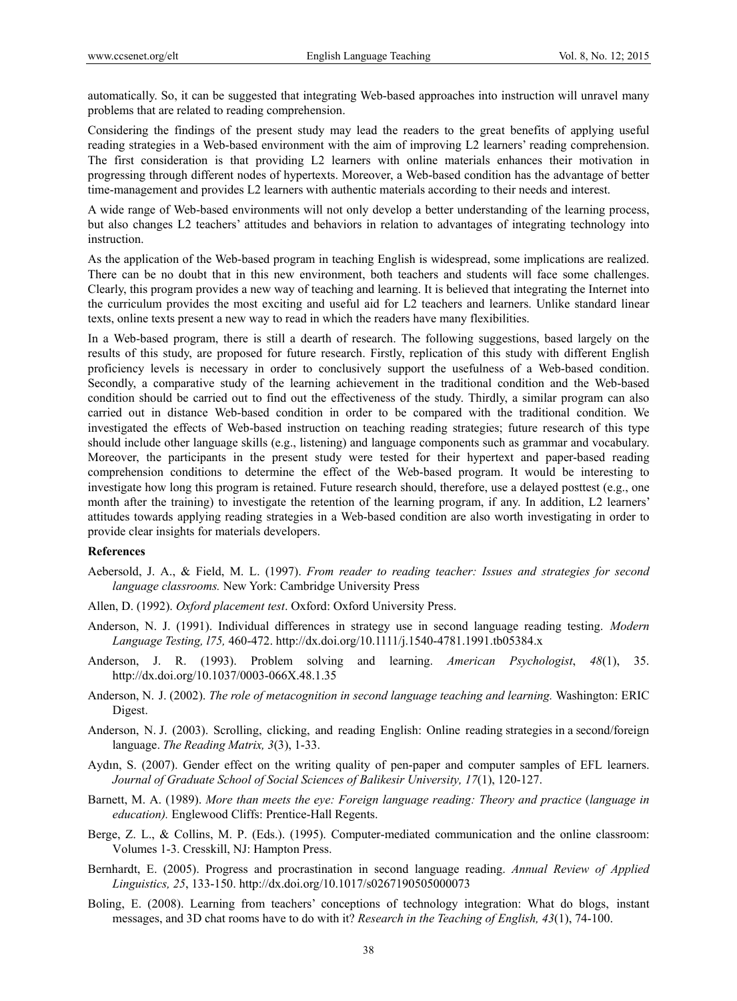automatically. So, it can be suggested that integrating Web-based approaches into instruction will unravel many problems that are related to reading comprehension.

Considering the findings of the present study may lead the readers to the great benefits of applying useful reading strategies in a Web-based environment with the aim of improving L2 learners' reading comprehension. The first consideration is that providing L2 learners with online materials enhances their motivation in progressing through different nodes of hypertexts. Moreover, a Web-based condition has the advantage of better time-management and provides L2 learners with authentic materials according to their needs and interest.

A wide range of Web-based environments will not only develop a better understanding of the learning process, but also changes L2 teachers' attitudes and behaviors in relation to advantages of integrating technology into instruction.

As the application of the Web-based program in teaching English is widespread, some implications are realized. There can be no doubt that in this new environment, both teachers and students will face some challenges. Clearly, this program provides a new way of teaching and learning. It is believed that integrating the Internet into the curriculum provides the most exciting and useful aid for L2 teachers and learners. Unlike standard linear texts, online texts present a new way to read in which the readers have many flexibilities.

In a Web-based program, there is still a dearth of research. The following suggestions, based largely on the results of this study, are proposed for future research. Firstly, replication of this study with different English proficiency levels is necessary in order to conclusively support the usefulness of a Web-based condition. Secondly, a comparative study of the learning achievement in the traditional condition and the Web-based condition should be carried out to find out the effectiveness of the study. Thirdly, a similar program can also carried out in distance Web-based condition in order to be compared with the traditional condition. We investigated the effects of Web-based instruction on teaching reading strategies; future research of this type should include other language skills (e.g., listening) and language components such as grammar and vocabulary. Moreover, the participants in the present study were tested for their hypertext and paper-based reading comprehension conditions to determine the effect of the Web-based program. It would be interesting to investigate how long this program is retained. Future research should, therefore, use a delayed posttest (e.g., one month after the training) to investigate the retention of the learning program, if any. In addition, L2 learners' attitudes towards applying reading strategies in a Web-based condition are also worth investigating in order to provide clear insights for materials developers.

#### **References**

- Aebersold, J. A., & Field, M. L. (1997). *From reader to reading teacher: Issues and strategies for second language classrooms.* New York: Cambridge University Press
- Allen, D. (1992). *Oxford placement test*. Oxford: Oxford University Press.
- Anderson, N. J. (1991). Individual differences in strategy use in second language reading testing. *Modern Language Testing, l75,* 460-472. http://dx.doi.org/10.1111/j.1540-4781.1991.tb05384.x
- Anderson, J. R. (1993). Problem solving and learning. *American Psychologist*, *48*(1), 35. http://dx.doi.org/10.1037/0003-066X.48.1.35
- Anderson, N. J. (2002). *The role of metacognition in second language teaching and learning.* Washington: ERIC Digest.
- Anderson, N. J. (2003). Scrolling, clicking, and reading English: Online reading strategies in a second/foreign language. *The Reading Matrix, 3*(3), 1-33.
- Aydın, S. (2007). Gender effect on the writing quality of pen-paper and computer samples of EFL learners. *Journal of Graduate School of Social Sciences of Balikesir University, 17*(1), 120-127.
- Barnett, M. A. (1989). *More than meets the eye: Foreign language reading: Theory and practice* (*language in education).* Englewood Cliffs: Prentice-Hall Regents.
- Berge, Z. L., & Collins, M. P. (Eds.). (1995). Computer-mediated communication and the online classroom: Volumes 1-3. Cresskill, NJ: Hampton Press.
- Bernhardt, E. (2005). Progress and procrastination in second language reading. *Annual Review of Applied Linguistics, 25*, 133-150. http://dx.doi.org/10.1017/s0267190505000073
- Boling, E. (2008). Learning from teachers' conceptions of technology integration: What do blogs, instant messages, and 3D chat rooms have to do with it? *Research in the Teaching of English, 43*(1), 74-100.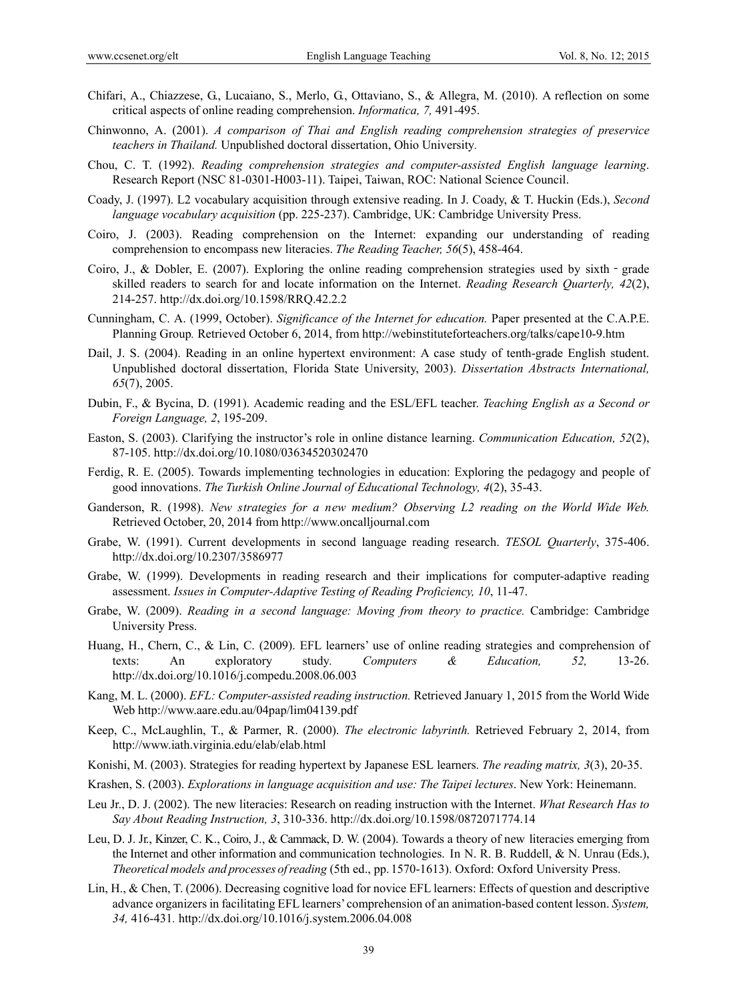- Chifari, A., Chiazzese, G., Lucaiano, S., Merlo, G., Ottaviano, S., & Allegra, M. (2010). A reflection on some critical aspects of online reading comprehension. *Informatica, 7,* 491-495.
- Chinwonno, A. (2001). *A comparison of Thai and English reading comprehension strategies of preservice teachers in Thailand.* Unpublished doctoral dissertation, Ohio University*.*
- Chou, C. T. (1992). *Reading comprehension strategies and computer-assisted English language learning*. Research Report (NSC 81-0301-H003-11). Taipei, Taiwan, ROC: National Science Council.
- Coady, J. (1997). L2 vocabulary acquisition through extensive reading. In J. Coady, & T. Huckin (Eds.), *Second language vocabulary acquisition* (pp. 225-237). Cambridge, UK: Cambridge University Press.
- Coiro, J. (2003). Reading comprehension on the Internet: expanding our understanding of reading comprehension to encompass new literacies. *The Reading Teacher, 56*(5), 458-464.
- Coiro, J., & Dobler, E. (2007). Exploring the online reading comprehension strategies used by sixth grade skilled readers to search for and locate information on the Internet. *Reading Research Quarterly, 42*(2), 214-257. http://dx.doi.org/10.1598/RRQ.42.2.2
- Cunningham, C. A. (1999, October). *Significance of the Internet for education.* Paper presented at the C.A.P.E. Planning Group*.* Retrieved October 6, 2014, from http://webinstituteforteachers.org/talks/cape10-9.htm
- Dail, J. S. (2004). Reading in an online hypertext environment: A case study of tenth-grade English student. Unpublished doctoral dissertation, Florida State University, 2003). *Dissertation Abstracts International, 65*(7), 2005.
- Dubin, F., & Bycina, D. (1991). Academic reading and the ESL/EFL teacher. *Teaching English as a Second or Foreign Language, 2*, 195-209.
- Easton, S. (2003). Clarifying the instructor's role in online distance learning. *Communication Education, 52*(2), 87-105. http://dx.doi.org/10.1080/03634520302470
- Ferdig, R. E. (2005). Towards implementing technologies in education: Exploring the pedagogy and people of good innovations. *The Turkish Online Journal of Educational Technology, 4*(2), 35-43.
- Ganderson, R. (1998). *New strategies for a new medium? Observing L2 reading on the World Wide Web.* Retrieved October, 20, 2014 from http://www.oncalljournal.com
- Grabe, W. (1991). Current developments in second language reading research. *TESOL Quarterly*, 375-406. http://dx.doi.org/10.2307/3586977
- Grabe, W. (1999). Developments in reading research and their implications for computer-adaptive reading assessment. *Issues in Computer-Adaptive Testing of Reading Proficiency, 10*, 11-47.
- Grabe, W. (2009). *Reading in a second language: Moving from theory to practice.* Cambridge: Cambridge University Press.
- Huang, H., Chern, C., & Lin, C. (2009). EFL learners' use of online reading strategies and comprehension of texts: An exploratory study*. Computers & Education, 52,* 13-26. http://dx.doi.org/10.1016/j.compedu.2008.06.003
- Kang, M. L. (2000). *EFL: Computer-assisted reading instruction.* Retrieved January 1, 2015 from the World Wide Web http://www.aare.edu.au/04pap/lim04139.pdf
- Keep, C., McLaughlin, T., & Parmer, R. (2000). *The electronic labyrinth.* Retrieved February 2, 2014, from http://www.iath.virginia.edu/elab/elab.html
- Konishi, M. (2003). Strategies for reading hypertext by Japanese ESL learners. *The reading matrix, 3*(3), 20-35.
- Krashen, S. (2003). *Explorations in language acquisition and use: The Taipei lectures*. New York: Heinemann.
- Leu Jr., D. J. (2002). The new literacies: Research on reading instruction with the Internet. *What Research Has to Say About Reading Instruction, 3*, 310-336. http://dx.doi.org/10.1598/0872071774.14
- Leu, D. J. Jr., Kinzer, C. K., Coiro, J., & Cammack, D. W. (2004). Towards a theory of new literacies emerging from the Internet and other information and communication technologies. In N. R. B. Ruddell,  $\&$  N. Unrau (Eds.), *Theoretical models and processes of reading* (5th ed., pp. 1570-1613). Oxford: Oxford University Press.
- Lin, H., & Chen, T. (2006). Decreasing cognitive load for novice EFL learners: Effects of question and descriptive advance organizers in facilitating EFL learners' comprehension of an animation-based content lesson. *System, 34,* 416-431*.* http://dx.doi.org/10.1016/j.system.2006.04.008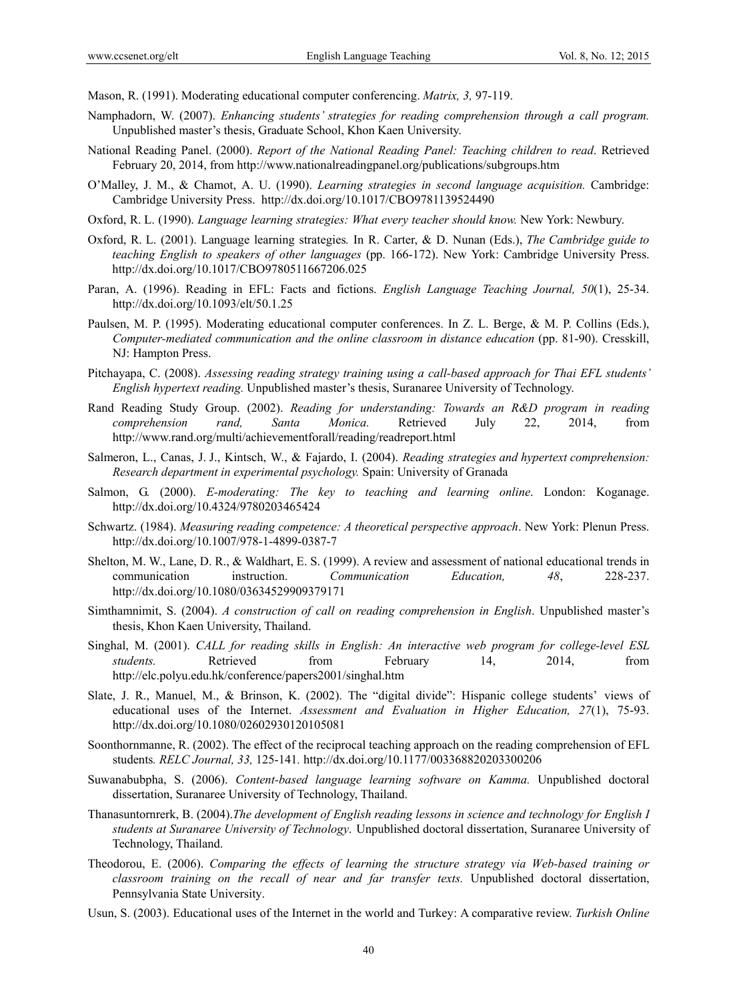Mason, R. (1991). Moderating educational computer conferencing. *Matrix, 3,* 97-119.

- Namphadorn, W. (2007). *Enhancing students' strategies for reading comprehension through a call program.* Unpublished master's thesis, Graduate School, Khon Kaen University.
- National Reading Panel. (2000). *Report of the National Reading Panel: Teaching children to read*. Retrieved February 20, 2014, from http://www.nationalreadingpanel.org/publications/subgroups.htm
- O'Malley, J. M., & Chamot, A. U. (1990). *Learning strategies in second language acquisition.* Cambridge: Cambridge University Press. http://dx.doi.org/10.1017/CBO9781139524490
- Oxford, R. L. (1990). *Language learning strategies: What every teacher should know.* New York: Newbury.
- Oxford, R. L. (2001). Language learning strategies*.* In R. Carter, & D. Nunan (Eds.), *The Cambridge guide to teaching English to speakers of other languages* (pp. 166-172). New York: Cambridge University Press. http://dx.doi.org/10.1017/CBO9780511667206.025
- Paran, A. (1996). Reading in EFL: Facts and fictions. *English Language Teaching Journal, 50*(1), 25-34. http://dx.doi.org/10.1093/elt/50.1.25
- Paulsen, M. P. (1995). Moderating educational computer conferences. In Z. L. Berge, & M. P. Collins (Eds.), *Computer-mediated communication and the online classroom in distance education* (pp. 81-90). Cresskill, NJ: Hampton Press.
- Pitchayapa, C. (2008). *Assessing reading strategy training using a call-based approach for Thai EFL students' English hypertext reading.* Unpublished master's thesis, Suranaree University of Technology.
- Rand Reading Study Group. (2002). *Reading for understanding: Towards an R&D program in reading comprehension rand, Santa Monica.* Retrieved July 22, 2014, from http://www.rand.org/multi/achievementforall/reading/readreport.html
- Salmeron, L., Canas, J. J., Kintsch, W., & Fajardo, I. (2004). *Reading strategies and hypertext comprehension: Research department in experimental psychology.* Spain: University of Granada
- Salmon, G. (2000). *E-moderating: The key to teaching and learning online*. London: Koganage. http://dx.doi.org/10.4324/9780203465424
- Schwartz. (1984). *Measuring reading competence: A theoretical perspective approach*. New York: Plenun Press. http://dx.doi.org/10.1007/978-1-4899-0387-7
- Shelton, M. W., Lane, D. R., & Waldhart, E. S. (1999). A review and assessment of national educational trends in communication instruction. *Communication Education, 48*, 228-237. http://dx.doi.org/10.1080/03634529909379171
- Simthamnimit, S. (2004). *A construction of call on reading comprehension in English*. Unpublished master's thesis, Khon Kaen University, Thailand.
- Singhal, M. (2001). *CALL for reading skills in English: An interactive web program for college-level ESL students.* Retrieved from February 14, 2014, from http://elc.polyu.edu.hk/conference/papers2001/singhal.htm
- Slate, J. R., Manuel, M., & Brinson, K. (2002). The "digital divide": Hispanic college students' views of educational uses of the Internet. *Assessment and Evaluation in Higher Education, 27*(1), 75-93. http://dx.doi.org/10.1080/02602930120105081
- Soonthornmanne, R. (2002). The effect of the reciprocal teaching approach on the reading comprehension of EFL students*. RELC Journal, 33,* 125-141*.* http://dx.doi.org/10.1177/003368820203300206
- Suwanabubpha, S. (2006). *Content-based language learning software on Kamma.* Unpublished doctoral dissertation, Suranaree University of Technology, Thailand.
- Thanasuntornrerk, B. (2004).*The development of English reading lessons in science and technology for English I students at Suranaree University of Technology*. Unpublished doctoral dissertation, Suranaree University of Technology, Thailand.
- Theodorou, E. (2006). *Comparing the effects of learning the structure strategy via Web-based training or classroom training on the recall of near and far transfer texts.* Unpublished doctoral dissertation, Pennsylvania State University.
- Usun, S. (2003). Educational uses of the Internet in the world and Turkey: A comparative review. *Turkish Online*